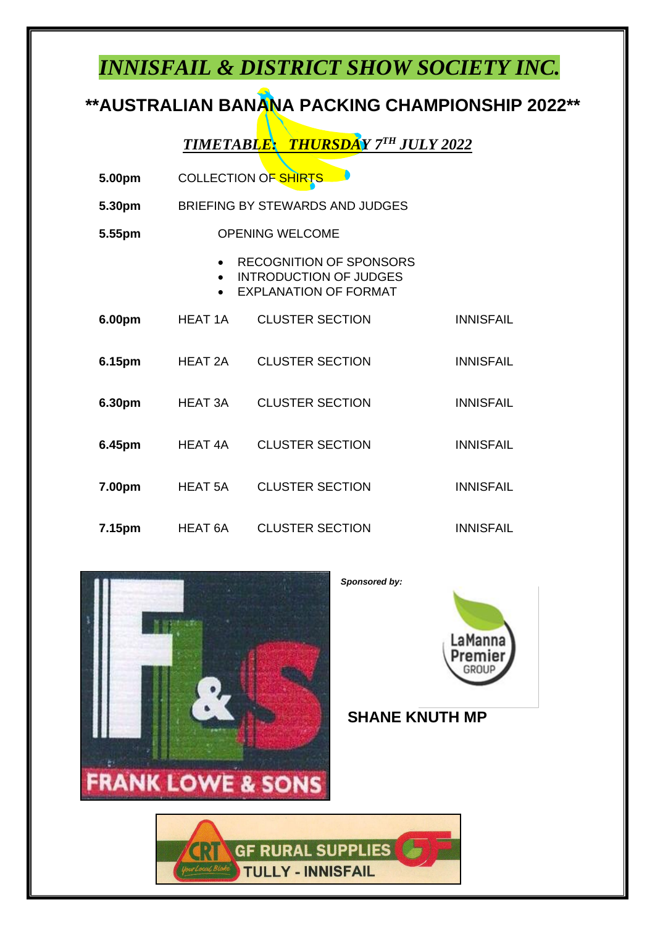## *INNISFAIL & DISTRICT SHOW SOCIETY INC.*

## **\*\*AUSTRALIAN BANANA PACKING CHAMPIONSHIP 2022\*\***

*TIMETABLE: THURSDAY 7 TH JULY 2022*

| 5.00pm | <b>COLLECTION OF SHIRTS</b>     |                                                                                                 |                  |  |  |
|--------|---------------------------------|-------------------------------------------------------------------------------------------------|------------------|--|--|
| 5.30pm | BRIEFING BY STEWARDS AND JUDGES |                                                                                                 |                  |  |  |
| 5.55pm | <b>OPENING WELCOME</b>          |                                                                                                 |                  |  |  |
|        | $\bullet$<br>$\bullet$          | <b>RECOGNITION OF SPONSORS</b><br><b>INTRODUCTION OF JUDGES</b><br><b>EXPLANATION OF FORMAT</b> |                  |  |  |
| 6.00pm | <b>HEAT 1A</b>                  | <b>CLUSTER SECTION</b>                                                                          | <b>INNISFAIL</b> |  |  |
| 6.15pm | HEAT 2A                         | <b>CLUSTER SECTION</b>                                                                          | <b>INNISFAIL</b> |  |  |
| 6.30pm | HEAT 3A                         | <b>CLUSTER SECTION</b>                                                                          | <b>INNISFAIL</b> |  |  |
| 6.45pm | HEAT 4A                         | <b>CLUSTER SECTION</b>                                                                          | <b>INNISFAIL</b> |  |  |
| 7.00pm | <b>HEAT 5A</b>                  | <b>CLUSTER SECTION</b>                                                                          | <b>INNISFAIL</b> |  |  |
| 7.15pm | HEAT 6A                         | <b>CLUSTER SECTION</b>                                                                          | <b>INNISFAIL</b> |  |  |





**SHANE KNUTH MP**